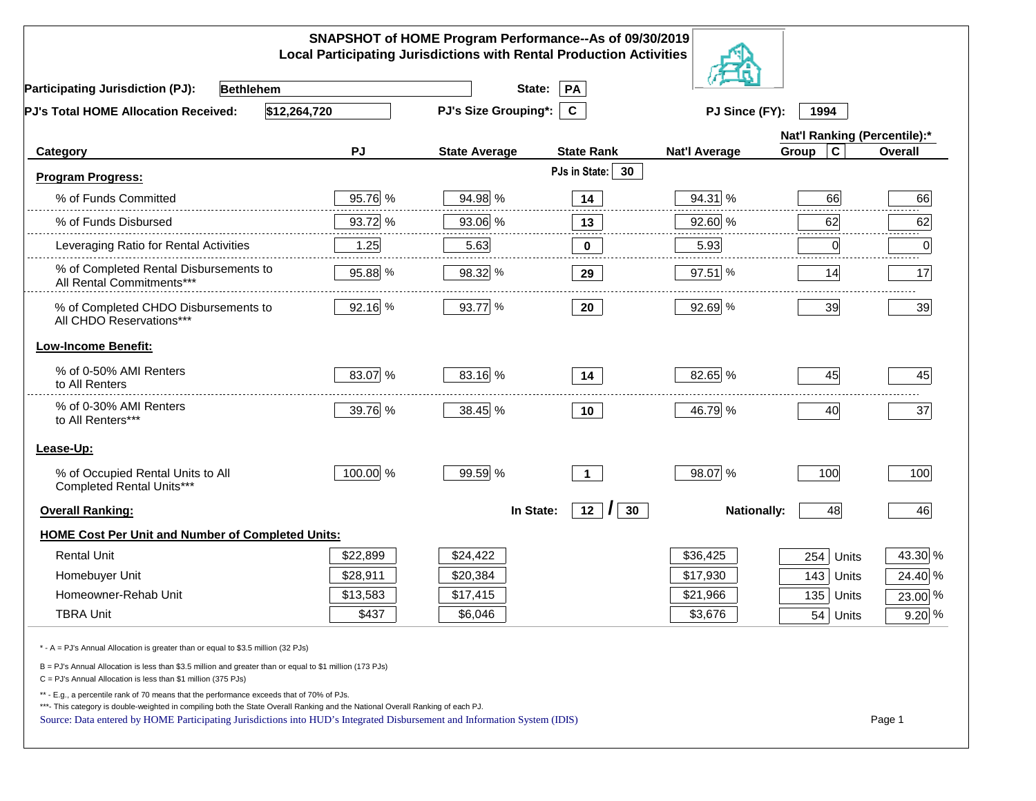|                                                                                                                                                                                                                                                                                                                                                          |          | SNAPSHOT of HOME Program Performance--As of 09/30/2019<br><b>Local Participating Jurisdictions with Rental Production Activities</b> |                                |                      |                              |          |
|----------------------------------------------------------------------------------------------------------------------------------------------------------------------------------------------------------------------------------------------------------------------------------------------------------------------------------------------------------|----------|--------------------------------------------------------------------------------------------------------------------------------------|--------------------------------|----------------------|------------------------------|----------|
| <b>Participating Jurisdiction (PJ):</b><br><b>Bethlehem</b>                                                                                                                                                                                                                                                                                              |          | State:                                                                                                                               | PA                             |                      |                              |          |
| \$12,264,720<br>PJ's Total HOME Allocation Received:                                                                                                                                                                                                                                                                                                     |          | <b>PJ's Size Grouping*:</b>                                                                                                          | $\mathbf{C}$                   | PJ Since (FY):       | 1994                         |          |
|                                                                                                                                                                                                                                                                                                                                                          |          |                                                                                                                                      |                                |                      | Nat'l Ranking (Percentile):* |          |
| Category                                                                                                                                                                                                                                                                                                                                                 | PJ       | <b>State Average</b>                                                                                                                 | <b>State Rank</b>              | <b>Nat'l Average</b> | $\mathbf c$<br>Group         | Overall  |
| <b>Program Progress:</b>                                                                                                                                                                                                                                                                                                                                 |          |                                                                                                                                      | PJs in State: 30               |                      |                              |          |
| % of Funds Committed                                                                                                                                                                                                                                                                                                                                     | 95.76 %  | 94.98 %                                                                                                                              | 14                             | 94.31 %              | 66                           | 66       |
| % of Funds Disbursed                                                                                                                                                                                                                                                                                                                                     | 93.72 %  | 93.06 %                                                                                                                              | 13                             | 92.60 %              | 62                           | 62       |
| Leveraging Ratio for Rental Activities                                                                                                                                                                                                                                                                                                                   | 1.25     | 5.63                                                                                                                                 | 0                              | 5.93                 | 0                            | .<br>0   |
| % of Completed Rental Disbursements to<br>All Rental Commitments***                                                                                                                                                                                                                                                                                      | 95.88 %  | 98.32 %                                                                                                                              | 29                             | 97.51 %              | 14                           | 17       |
| % of Completed CHDO Disbursements to<br>All CHDO Reservations***                                                                                                                                                                                                                                                                                         | 92.16 %  | 93.77 %                                                                                                                              | 20                             | 92.69 %              | 39                           | 39       |
| <b>Low-Income Benefit:</b>                                                                                                                                                                                                                                                                                                                               |          |                                                                                                                                      |                                |                      |                              |          |
| % of 0-50% AMI Renters<br>to All Renters                                                                                                                                                                                                                                                                                                                 | 83.07 %  | 83.16 %                                                                                                                              | 14                             | 82.65 %              | 45                           | 45       |
| % of 0-30% AMI Renters<br>to All Renters***                                                                                                                                                                                                                                                                                                              | 39.76 %  | 38.45 %                                                                                                                              | 10                             | 46.79 %              | 40                           | 37       |
| Lease-Up:                                                                                                                                                                                                                                                                                                                                                |          |                                                                                                                                      |                                |                      |                              |          |
| % of Occupied Rental Units to All<br>Completed Rental Units***                                                                                                                                                                                                                                                                                           | 100.00 % | 99.59 %                                                                                                                              | $\overline{1}$                 | 98.07 %              | 100                          | 100      |
| <b>Overall Ranking:</b>                                                                                                                                                                                                                                                                                                                                  |          | In State:                                                                                                                            | $12 \mid l$<br>30 <sup>°</sup> | <b>Nationally:</b>   | 48                           | 46       |
| <b>HOME Cost Per Unit and Number of Completed Units:</b>                                                                                                                                                                                                                                                                                                 |          |                                                                                                                                      |                                |                      |                              |          |
| <b>Rental Unit</b>                                                                                                                                                                                                                                                                                                                                       | \$22,899 | \$24,422                                                                                                                             |                                | \$36,425             | 254<br>Units                 | 43.30 %  |
| Homebuyer Unit                                                                                                                                                                                                                                                                                                                                           | \$28,911 | \$20,384                                                                                                                             |                                | \$17,930             | 143 Units                    | 24.40 %  |
| Homeowner-Rehab Unit                                                                                                                                                                                                                                                                                                                                     | \$13,583 | \$17,415                                                                                                                             |                                | \$21,966             | 135 Units                    | 23.00 %  |
| <b>TBRA Unit</b>                                                                                                                                                                                                                                                                                                                                         | \$437    | \$6,046                                                                                                                              |                                | \$3,676              | 54 Units                     | $9.20\%$ |
| * - A = PJ's Annual Allocation is greater than or equal to \$3.5 million (32 PJs)                                                                                                                                                                                                                                                                        |          |                                                                                                                                      |                                |                      |                              |          |
| B = PJ's Annual Allocation is less than \$3.5 million and greater than or equal to \$1 million (173 PJs)<br>C = PJ's Annual Allocation is less than \$1 million (375 PJs)                                                                                                                                                                                |          |                                                                                                                                      |                                |                      |                              |          |
| ** - E.g., a percentile rank of 70 means that the performance exceeds that of 70% of PJs.<br>***- This category is double-weighted in compiling both the State Overall Ranking and the National Overall Ranking of each PJ.<br>Source: Data entered by HOME Participating Jurisdictions into HUD's Integrated Disbursement and Information System (IDIS) |          |                                                                                                                                      |                                |                      |                              | Page 1   |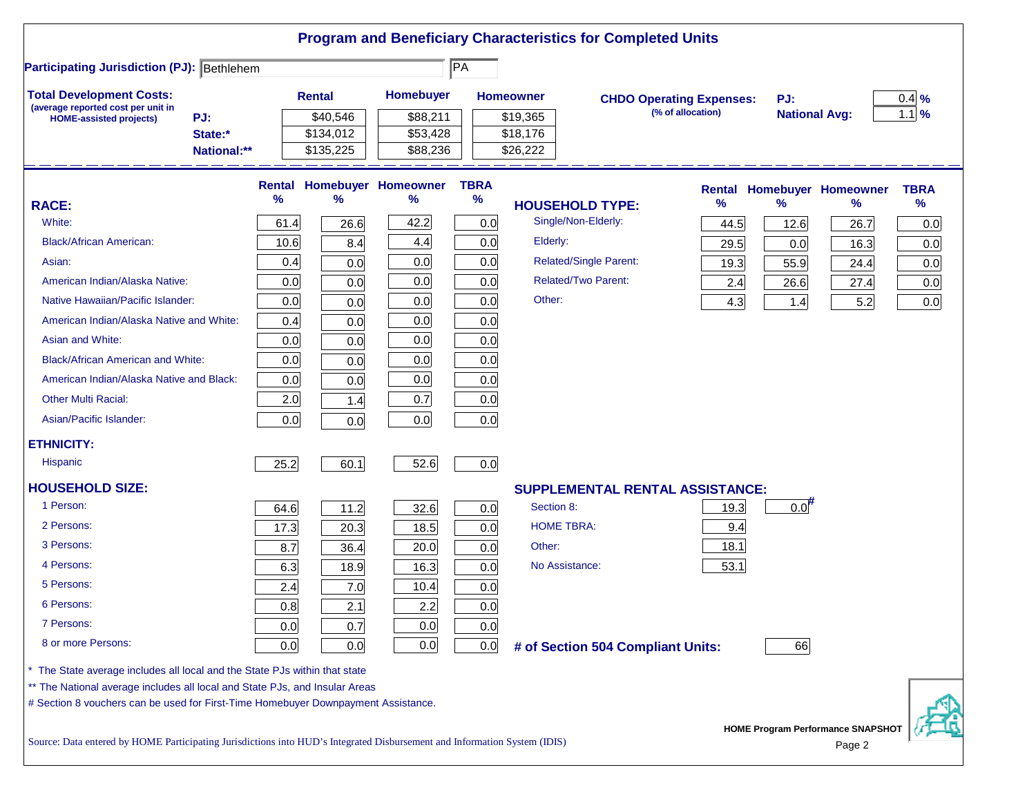| <b>Participating Jurisdiction (PJ): Bethlehem</b>                           |             |      |               |                            | $\overline{PA}$ |                                        |                                 |                      |                                   |             |
|-----------------------------------------------------------------------------|-------------|------|---------------|----------------------------|-----------------|----------------------------------------|---------------------------------|----------------------|-----------------------------------|-------------|
| <b>Total Development Costs:</b>                                             |             |      | <b>Rental</b> | Homebuyer                  |                 | <b>Homeowner</b>                       | <b>CHDO Operating Expenses:</b> | PJ:                  |                                   | $0.4\%$     |
| (average reported cost per unit in<br><b>HOME-assisted projects)</b>        | PJ:         |      | \$40,546      | \$88,211                   |                 | \$19,365                               | (% of allocation)               | <b>National Avg:</b> |                                   | $1.1\%$     |
|                                                                             | State:*     |      | \$134,012     | \$53,428                   |                 | \$18,176                               |                                 |                      |                                   |             |
|                                                                             | National:** |      | \$135,225     | \$88,236                   |                 | \$26,222                               |                                 |                      |                                   |             |
|                                                                             |             |      |               | Rental Homebuyer Homeowner | <b>TBRA</b>     |                                        |                                 |                      | <b>Rental Homebuyer Homeowner</b> | <b>TBRA</b> |
| <b>RACE:</b>                                                                |             | %    | ℅             | ℅                          | $\%$            | <b>HOUSEHOLD TYPE:</b>                 | %                               | $\frac{9}{6}$        | ℅                                 | $\%$        |
| White:                                                                      |             | 61.4 | 26.6          | 42.2                       | 0.0             | Single/Non-Elderly:                    | 44.5                            | 12.6                 | 26.7                              | 0.0         |
| <b>Black/African American:</b>                                              |             | 10.6 | 8.4           | 4.4                        | 0.0             | Elderly:                               | 29.5                            | 0.0                  | 16.3                              | 0.0         |
| Asian:                                                                      |             | 0.4  | 0.0           | 0.0                        | 0.0             | <b>Related/Single Parent:</b>          | 19.3                            | 55.9                 | 24.4                              | 0.0         |
| American Indian/Alaska Native:                                              |             | 0.0  | 0.0           | 0.0                        | 0.0             | <b>Related/Two Parent:</b>             | 2.4                             | 26.6                 | 27.4                              | 0.0         |
| Native Hawaiian/Pacific Islander:                                           |             | 0.0  | 0.0           | 0.0                        | 0.0             | Other:                                 | 4.3                             | 1.4                  | 5.2                               | 0.0         |
| American Indian/Alaska Native and White:                                    |             | 0.4  | 0.0           | 0.0                        | 0.0             |                                        |                                 |                      |                                   |             |
| Asian and White:                                                            |             | 0.0  | 0.0           | 0.0                        | 0.0             |                                        |                                 |                      |                                   |             |
| <b>Black/African American and White:</b>                                    |             | 0.0  | 0.0           | 0.0                        | 0.0             |                                        |                                 |                      |                                   |             |
| American Indian/Alaska Native and Black:                                    |             | 0.0  | 0.0           | 0.0                        | 0.0             |                                        |                                 |                      |                                   |             |
| <b>Other Multi Racial:</b>                                                  |             | 2.0  | 1.4           | 0.7                        | 0.0             |                                        |                                 |                      |                                   |             |
| Asian/Pacific Islander:                                                     |             | 0.0  | 0.0           | 0.0                        | 0.0             |                                        |                                 |                      |                                   |             |
| <b>ETHNICITY:</b>                                                           |             |      |               |                            |                 |                                        |                                 |                      |                                   |             |
| <b>Hispanic</b>                                                             |             | 25.2 | 60.1          | 52.6                       | 0.0             |                                        |                                 |                      |                                   |             |
| <b>HOUSEHOLD SIZE:</b>                                                      |             |      |               |                            |                 | <b>SUPPLEMENTAL RENTAL ASSISTANCE:</b> |                                 |                      |                                   |             |
| 1 Person:                                                                   |             | 64.6 | 11.2          | 32.6                       | 0.0             | Section 8:                             | 19.3                            | $0.0$ <sup>#</sup>   |                                   |             |
| 2 Persons:                                                                  |             | 17.3 | 20.3          | 18.5                       | 0.0             | <b>HOME TBRA:</b>                      | 9.4                             |                      |                                   |             |
| 3 Persons:                                                                  |             | 8.7  | 36.4          | 20.0                       | 0.0             | Other:                                 | 18.1                            |                      |                                   |             |
| 4 Persons:                                                                  |             | 6.3  | 18.9          | 16.3                       | 0.0             | No Assistance:                         | 53.1                            |                      |                                   |             |
| 5 Persons:                                                                  |             | 2.4  | 7.0           | 10.4                       | 0.0             |                                        |                                 |                      |                                   |             |
| 6 Persons:                                                                  |             | 0.8  | 2.1           | 2.2                        | 0.0             |                                        |                                 |                      |                                   |             |
| 7 Persons:                                                                  |             | 0.0  | 0.7           | 0.0                        | 0.0             |                                        |                                 |                      |                                   |             |
| 8 or more Persons:                                                          |             | 0.0  | 0.0           | 0.0                        | 0.0             | # of Section 504 Compliant Units:      |                                 | 66                   |                                   |             |
| The State average includes all local and the State PJs within that state    |             |      |               |                            |                 |                                        |                                 |                      |                                   |             |
| ** The National average includes all local and State PJs, and Insular Areas |             |      |               |                            |                 |                                        |                                 |                      |                                   |             |

urce: Data entered by HOME Participating Jurisdictions into HUD's Integrated Disbursement and Information System (IDIS) Page 2